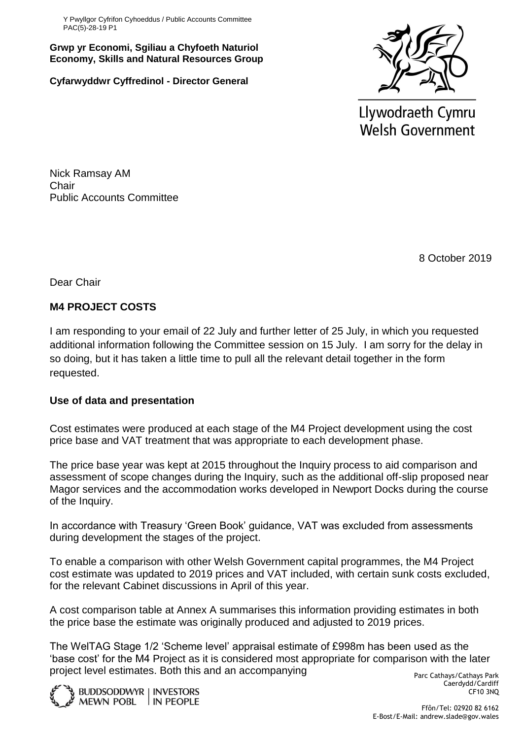Y Pwyllgor Cyfrifon Cyhoeddus / Public Accounts Committee PAC(5)-28-19 P1

**Grwp yr Economi, Sgiliau a Chyfoeth Naturiol Economy, Skills and Natural Resources Group**

**Cyfarwyddwr Cyffredinol - Director General**



Llywodraeth Cymru **Welsh Government** 

Nick Ramsay AM **Chair** Public Accounts Committee

8 October 2019

Dear Chair

# **M4 PROJECT COSTS**

I am responding to your email of 22 July and further letter of 25 July, in which you requested additional information following the Committee session on 15 July. I am sorry for the delay in so doing, but it has taken a little time to pull all the relevant detail together in the form requested.

## **Use of data and presentation**

Cost estimates were produced at each stage of the M4 Project development using the cost price base and VAT treatment that was appropriate to each development phase.

The price base year was kept at 2015 throughout the Inquiry process to aid comparison and assessment of scope changes during the Inquiry, such as the additional off-slip proposed near Magor services and the accommodation works developed in Newport Docks during the course of the Inquiry.

In accordance with Treasury 'Green Book' guidance, VAT was excluded from assessments during development the stages of the project.

To enable a comparison with other Welsh Government capital programmes, the M4 Project cost estimate was updated to 2019 prices and VAT included, with certain sunk costs excluded, for the relevant Cabinet discussions in April of this year.

A cost comparison table at Annex A summarises this information providing estimates in both the price base the estimate was originally produced and adjusted to 2019 prices.

The WelTAG Stage 1/2 'Scheme level' appraisal estimate of £998m has been used as the 'base cost' for the M4 Project as it is considered most appropriate for comparison with the later project level estimates. Both this and an accompanying



Parc Cathays/Cathays Park Caerdydd/Cardiff CF10 3NQ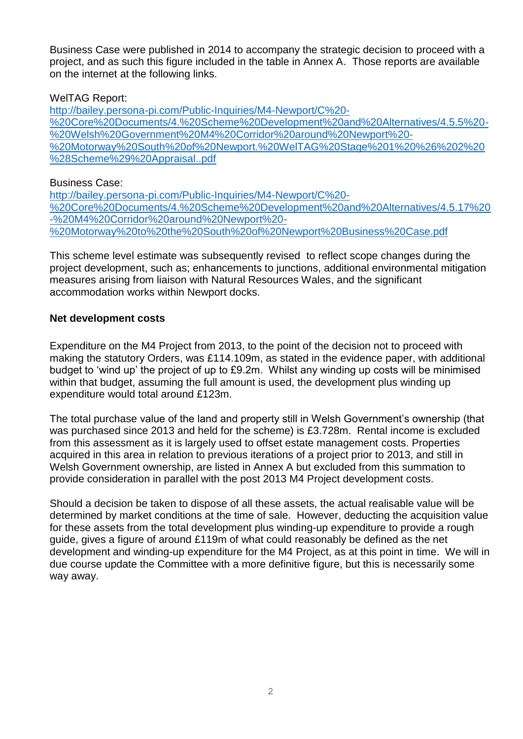Business Case were published in 2014 to accompany the strategic decision to proceed with a project, and as such this figure included in the table in Annex A. Those reports are available on the internet at the following links.

### WelTAG Report:

[http://bailey.persona-pi.com/Public-Inquiries/M4-Newport/C%20-](http://bailey.persona-pi.com/Public-Inquiries/M4-Newport/C%20-%20Core%20Documents/4.%20Scheme%20Development%20and%20Alternatives/4.5.5%20-%20Welsh%20Government%20M4%20Corridor%20around%20Newport%20-%20Motorway%20South%20of%20Newport.%20WelTAG%20Stage%201%20%26%202%20%28Scheme%29%20Appraisal..pdf) [%20Core%20Documents/4.%20Scheme%20Development%20and%20Alternatives/4.5.5%20-](http://bailey.persona-pi.com/Public-Inquiries/M4-Newport/C%20-%20Core%20Documents/4.%20Scheme%20Development%20and%20Alternatives/4.5.5%20-%20Welsh%20Government%20M4%20Corridor%20around%20Newport%20-%20Motorway%20South%20of%20Newport.%20WelTAG%20Stage%201%20%26%202%20%28Scheme%29%20Appraisal..pdf) [%20Welsh%20Government%20M4%20Corridor%20around%20Newport%20-](http://bailey.persona-pi.com/Public-Inquiries/M4-Newport/C%20-%20Core%20Documents/4.%20Scheme%20Development%20and%20Alternatives/4.5.5%20-%20Welsh%20Government%20M4%20Corridor%20around%20Newport%20-%20Motorway%20South%20of%20Newport.%20WelTAG%20Stage%201%20%26%202%20%28Scheme%29%20Appraisal..pdf) [%20Motorway%20South%20of%20Newport.%20WelTAG%20Stage%201%20%26%202%20](http://bailey.persona-pi.com/Public-Inquiries/M4-Newport/C%20-%20Core%20Documents/4.%20Scheme%20Development%20and%20Alternatives/4.5.5%20-%20Welsh%20Government%20M4%20Corridor%20around%20Newport%20-%20Motorway%20South%20of%20Newport.%20WelTAG%20Stage%201%20%26%202%20%28Scheme%29%20Appraisal..pdf) [%28Scheme%29%20Appraisal..pdf](http://bailey.persona-pi.com/Public-Inquiries/M4-Newport/C%20-%20Core%20Documents/4.%20Scheme%20Development%20and%20Alternatives/4.5.5%20-%20Welsh%20Government%20M4%20Corridor%20around%20Newport%20-%20Motorway%20South%20of%20Newport.%20WelTAG%20Stage%201%20%26%202%20%28Scheme%29%20Appraisal..pdf)

#### Business Case:

[http://bailey.persona-pi.com/Public-Inquiries/M4-Newport/C%20-](http://bailey.persona-pi.com/Public-Inquiries/M4-Newport/C%20-%20Core%20Documents/4.%20Scheme%20Development%20and%20Alternatives/4.5.17%20-%20M4%20Corridor%20around%20Newport%20-%20Motorway%20to%20the%20South%20of%20Newport%20Business%20Case.pdf) [%20Core%20Documents/4.%20Scheme%20Development%20and%20Alternatives/4.5.17%20](http://bailey.persona-pi.com/Public-Inquiries/M4-Newport/C%20-%20Core%20Documents/4.%20Scheme%20Development%20and%20Alternatives/4.5.17%20-%20M4%20Corridor%20around%20Newport%20-%20Motorway%20to%20the%20South%20of%20Newport%20Business%20Case.pdf) [-%20M4%20Corridor%20around%20Newport%20-](http://bailey.persona-pi.com/Public-Inquiries/M4-Newport/C%20-%20Core%20Documents/4.%20Scheme%20Development%20and%20Alternatives/4.5.17%20-%20M4%20Corridor%20around%20Newport%20-%20Motorway%20to%20the%20South%20of%20Newport%20Business%20Case.pdf) [%20Motorway%20to%20the%20South%20of%20Newport%20Business%20Case.pdf](http://bailey.persona-pi.com/Public-Inquiries/M4-Newport/C%20-%20Core%20Documents/4.%20Scheme%20Development%20and%20Alternatives/4.5.17%20-%20M4%20Corridor%20around%20Newport%20-%20Motorway%20to%20the%20South%20of%20Newport%20Business%20Case.pdf)

This scheme level estimate was subsequently revised to reflect scope changes during the project development, such as; enhancements to junctions, additional environmental mitigation measures arising from liaison with Natural Resources Wales, and the significant accommodation works within Newport docks.

#### **Net development costs**

Expenditure on the M4 Project from 2013, to the point of the decision not to proceed with making the statutory Orders, was £114.109m, as stated in the evidence paper, with additional budget to 'wind up' the project of up to £9.2m. Whilst any winding up costs will be minimised within that budget, assuming the full amount is used, the development plus winding up expenditure would total around £123m.

The total purchase value of the land and property still in Welsh Government's ownership (that was purchased since 2013 and held for the scheme) is £3.728m. Rental income is excluded from this assessment as it is largely used to offset estate management costs. Properties acquired in this area in relation to previous iterations of a project prior to 2013, and still in Welsh Government ownership, are listed in Annex A but excluded from this summation to provide consideration in parallel with the post 2013 M4 Project development costs.

Should a decision be taken to dispose of all these assets, the actual realisable value will be determined by market conditions at the time of sale. However, deducting the acquisition value for these assets from the total development plus winding-up expenditure to provide a rough guide, gives a figure of around £119m of what could reasonably be defined as the net development and winding-up expenditure for the M4 Project, as at this point in time. We will in due course update the Committee with a more definitive figure, but this is necessarily some way away.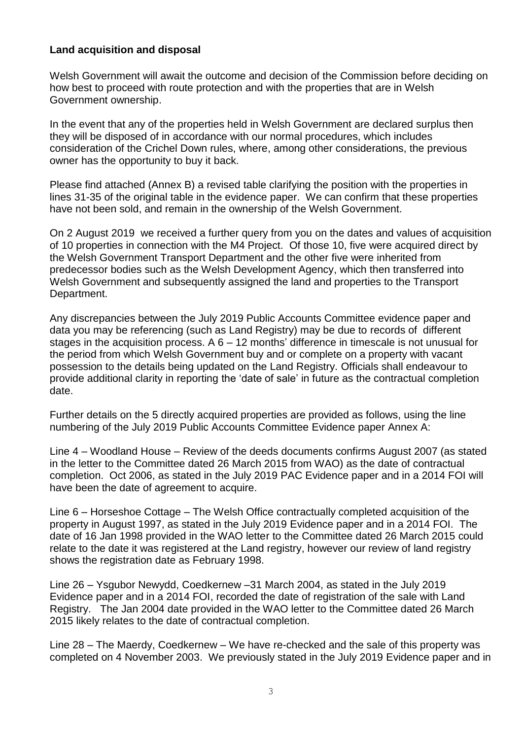#### **Land acquisition and disposal**

Welsh Government will await the outcome and decision of the Commission before deciding on how best to proceed with route protection and with the properties that are in Welsh Government ownership.

In the event that any of the properties held in Welsh Government are declared surplus then they will be disposed of in accordance with our normal procedures, which includes consideration of the Crichel Down rules, where, among other considerations, the previous owner has the opportunity to buy it back.

Please find attached (Annex B) a revised table clarifying the position with the properties in lines 31-35 of the original table in the evidence paper. We can confirm that these properties have not been sold, and remain in the ownership of the Welsh Government.

On 2 August 2019 we received a further query from you on the dates and values of acquisition of 10 properties in connection with the M4 Project. Of those 10, five were acquired direct by the Welsh Government Transport Department and the other five were inherited from predecessor bodies such as the Welsh Development Agency, which then transferred into Welsh Government and subsequently assigned the land and properties to the Transport Department.

Any discrepancies between the July 2019 Public Accounts Committee evidence paper and data you may be referencing (such as Land Registry) may be due to records of different stages in the acquisition process. A  $6 - 12$  months' difference in timescale is not unusual for the period from which Welsh Government buy and or complete on a property with vacant possession to the details being updated on the Land Registry. Officials shall endeavour to provide additional clarity in reporting the 'date of sale' in future as the contractual completion date.

Further details on the 5 directly acquired properties are provided as follows, using the line numbering of the July 2019 Public Accounts Committee Evidence paper Annex A:

Line 4 – Woodland House – Review of the deeds documents confirms August 2007 (as stated in the letter to the Committee dated 26 March 2015 from WAO) as the date of contractual completion. Oct 2006, as stated in the July 2019 PAC Evidence paper and in a 2014 FOI will have been the date of agreement to acquire.

Line 6 – Horseshoe Cottage – The Welsh Office contractually completed acquisition of the property in August 1997, as stated in the July 2019 Evidence paper and in a 2014 FOI. The date of 16 Jan 1998 provided in the WAO letter to the Committee dated 26 March 2015 could relate to the date it was registered at the Land registry, however our review of land registry shows the registration date as February 1998.

Line 26 – Ysgubor Newydd, Coedkernew –31 March 2004, as stated in the July 2019 Evidence paper and in a 2014 FOI, recorded the date of registration of the sale with Land Registry. The Jan 2004 date provided in the WAO letter to the Committee dated 26 March 2015 likely relates to the date of contractual completion.

Line 28 – The Maerdy, Coedkernew – We have re-checked and the sale of this property was completed on 4 November 2003. We previously stated in the July 2019 Evidence paper and in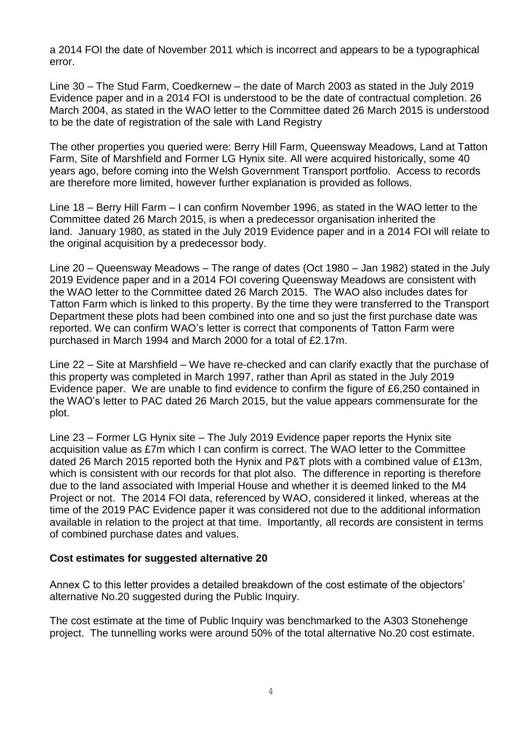a 2014 FOI the date of November 2011 which is incorrect and appears to be a typographical error.

Line 30 – The Stud Farm, Coedkernew – the date of March 2003 as stated in the July 2019 Evidence paper and in a 2014 FOI is understood to be the date of contractual completion. 26 March 2004, as stated in the WAO letter to the Committee dated 26 March 2015 is understood to be the date of registration of the sale with Land Registry

The other properties you queried were: Berry Hill Farm, Queensway Meadows, Land at Tatton Farm, Site of Marshfield and Former LG Hynix site. All were acquired historically, some 40 years ago, before coming into the Welsh Government Transport portfolio. Access to records are therefore more limited, however further explanation is provided as follows.

Line 18 – Berry Hill Farm – I can confirm November 1996, as stated in the WAO letter to the Committee dated 26 March 2015, is when a predecessor organisation inherited the land. January 1980, as stated in the July 2019 Evidence paper and in a 2014 FOI will relate to the original acquisition by a predecessor body.

Line 20 – Queensway Meadows – The range of dates (Oct 1980 – Jan 1982) stated in the July 2019 Evidence paper and in a 2014 FOI covering Queensway Meadows are consistent with the WAO letter to the Committee dated 26 March 2015. The WAO also includes dates for Tatton Farm which is linked to this property. By the time they were transferred to the Transport Department these plots had been combined into one and so just the first purchase date was reported. We can confirm WAO's letter is correct that components of Tatton Farm were purchased in March 1994 and March 2000 for a total of £2.17m.

Line 22 – Site at Marshfield – We have re-checked and can clarify exactly that the purchase of this property was completed in March 1997, rather than April as stated in the July 2019 Evidence paper. We are unable to find evidence to confirm the figure of £6,250 contained in the WAO's letter to PAC dated 26 March 2015, but the value appears commensurate for the plot.

Line 23 – Former LG Hynix site – The July 2019 Evidence paper reports the Hynix site acquisition value as £7m which I can confirm is correct. The WAO letter to the Committee dated 26 March 2015 reported both the Hynix and P&T plots with a combined value of £13m, which is consistent with our records for that plot also. The difference in reporting is therefore due to the land associated with Imperial House and whether it is deemed linked to the M4 Project or not. The 2014 FOI data, referenced by WAO, considered it linked, whereas at the time of the 2019 PAC Evidence paper it was considered not due to the additional information available in relation to the project at that time. Importantly, all records are consistent in terms of combined purchase dates and values.

#### **Cost estimates for suggested alternative 20**

Annex C to this letter provides a detailed breakdown of the cost estimate of the objectors' alternative No.20 suggested during the Public Inquiry.

The cost estimate at the time of Public Inquiry was benchmarked to the A303 Stonehenge project. The tunnelling works were around 50% of the total alternative No.20 cost estimate.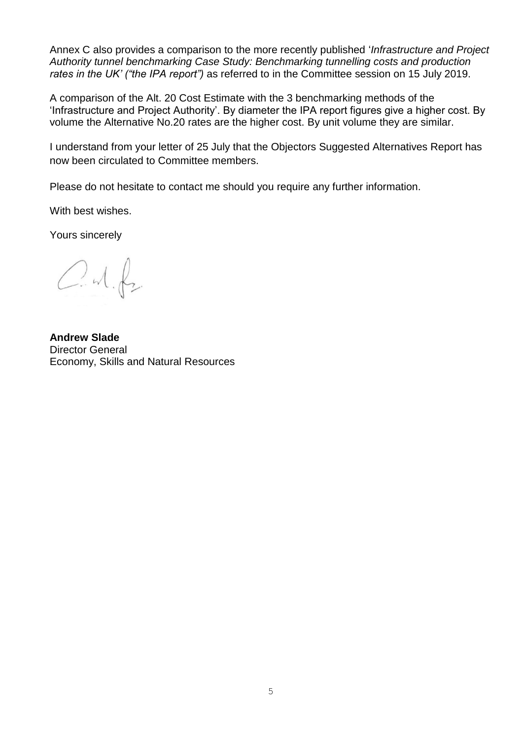Annex C also provides a comparison to the more recently published '*Infrastructure and Project Authority tunnel benchmarking Case Study: Benchmarking tunnelling costs and production rates in the UK' ("the IPA report")* as referred to in the Committee session on 15 July 2019.

A comparison of the Alt. 20 Cost Estimate with the 3 benchmarking methods of the 'Infrastructure and Project Authority'. By diameter the IPA report figures give a higher cost. By volume the Alternative No.20 rates are the higher cost. By unit volume they are similar.

I understand from your letter of 25 July that the Objectors Suggested Alternatives Report has now been circulated to Committee members.

Please do not hesitate to contact me should you require any further information.

With best wishes.

Yours sincerely

 $C.M.f.$ 

**Andrew Slade** Director General Economy, Skills and Natural Resources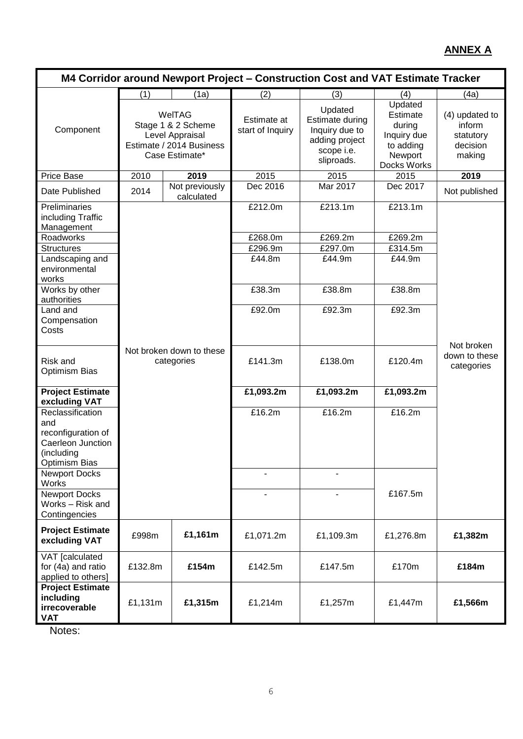# **ANNEX A**

| M4 Corridor around Newport Project - Construction Cost and VAT Estimate Tracker                   |         |                                                                                               |                                 |                                                                                            |                                                                                     |                                                             |
|---------------------------------------------------------------------------------------------------|---------|-----------------------------------------------------------------------------------------------|---------------------------------|--------------------------------------------------------------------------------------------|-------------------------------------------------------------------------------------|-------------------------------------------------------------|
|                                                                                                   | (1)     | (1a)                                                                                          | (2)                             | (3)                                                                                        | (4)                                                                                 | (4a)                                                        |
| Component                                                                                         |         | WelTAG<br>Stage 1 & 2 Scheme<br>Level Appraisal<br>Estimate / 2014 Business<br>Case Estimate* | Estimate at<br>start of Inquiry | Updated<br>Estimate during<br>Inquiry due to<br>adding project<br>scope i.e.<br>sliproads. | Updated<br>Estimate<br>during<br>Inquiry due<br>to adding<br>Newport<br>Docks Works | (4) updated to<br>inform<br>statutory<br>decision<br>making |
| Price Base                                                                                        | 2010    | 2019                                                                                          | 2015                            | 2015                                                                                       | 2015                                                                                | 2019                                                        |
| Date Published                                                                                    | 2014    | Not previously<br>calculated                                                                  | Dec 2016                        | Mar 2017                                                                                   | Dec 2017                                                                            | Not published                                               |
| Preliminaries<br>including Traffic<br>Management<br>Roadworks                                     |         |                                                                                               | £212.0m<br>£268.0m              | £213.1m<br>£269.2m                                                                         | £213.1m<br>E269.2m                                                                  |                                                             |
| <b>Structures</b>                                                                                 |         |                                                                                               | £296.9m                         | £297.0m                                                                                    | £314.5m                                                                             |                                                             |
| Landscaping and<br>environmental<br>works                                                         |         |                                                                                               | £44.8m                          | £44.9m                                                                                     | £44.9m                                                                              |                                                             |
| Works by other<br>authorities                                                                     |         |                                                                                               | £38.3m                          | £38.8m                                                                                     | £38.8m                                                                              |                                                             |
| Land and<br>Compensation<br>Costs                                                                 |         |                                                                                               | £92.0m                          | £92.3m                                                                                     | £92.3m                                                                              |                                                             |
| Risk and<br><b>Optimism Bias</b>                                                                  |         | Not broken down to these<br>categories                                                        | £141.3m                         | £138.0m                                                                                    | £120.4m                                                                             | Not broken<br>down to these<br>categories                   |
| <b>Project Estimate</b><br>excluding VAT                                                          |         |                                                                                               | £1,093.2m                       | £1,093.2m                                                                                  | £1,093.2m                                                                           |                                                             |
| Reclassification<br>and<br>reconfiguration of<br>Caerleon Junction<br>(including<br>Optimism Bias |         |                                                                                               | £16.2m                          | £16.2m                                                                                     | £16.2m                                                                              |                                                             |
| <b>Newport Docks</b><br><b>Works</b>                                                              |         |                                                                                               |                                 |                                                                                            |                                                                                     |                                                             |
| <b>Newport Docks</b><br>Works - Risk and<br>Contingencies                                         |         |                                                                                               | $\overline{\phantom{0}}$        |                                                                                            | £167.5m                                                                             |                                                             |
| <b>Project Estimate</b><br>excluding VAT                                                          | £998m   | £1,161m                                                                                       | £1,071.2m                       | £1,109.3m                                                                                  | £1,276.8m                                                                           | £1,382m                                                     |
| VAT [calculated<br>for (4a) and ratio<br>applied to others]                                       | £132.8m | £154m                                                                                         | £142.5m                         | £147.5m                                                                                    | £170m                                                                               | £184m                                                       |
| <b>Project Estimate</b><br>including<br>irrecoverable<br><b>VAT</b>                               | £1,131m | £1,315m                                                                                       | £1,214m                         | £1,257m                                                                                    | £1,447m                                                                             | £1,566m                                                     |

Notes: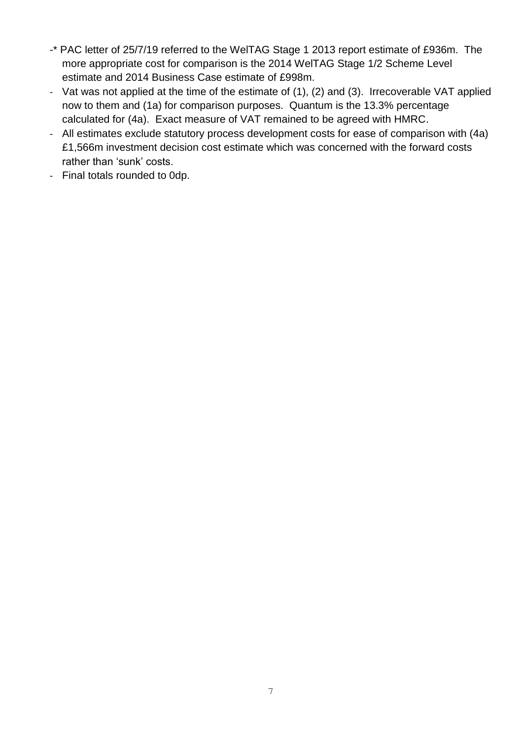- -\* PAC letter of 25/7/19 referred to the WelTAG Stage 1 2013 report estimate of £936m. The more appropriate cost for comparison is the 2014 WelTAG Stage 1/2 Scheme Level estimate and 2014 Business Case estimate of £998m.
- Vat was not applied at the time of the estimate of (1), (2) and (3). Irrecoverable VAT applied now to them and (1a) for comparison purposes. Quantum is the 13.3% percentage calculated for (4a). Exact measure of VAT remained to be agreed with HMRC.
- All estimates exclude statutory process development costs for ease of comparison with (4a) £1,566m investment decision cost estimate which was concerned with the forward costs rather than 'sunk' costs.
- Final totals rounded to 0dp.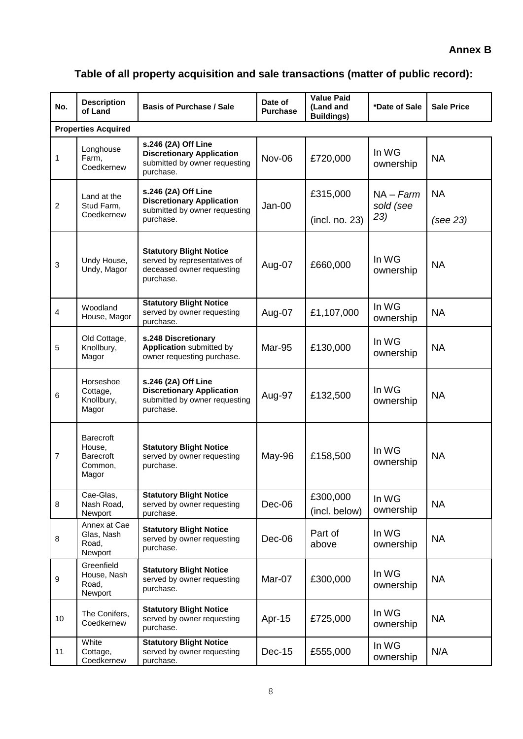# **Table of all property acquisition and sale transactions (matter of public record):**

| No.              | <b>Description</b><br>of Land                                      | <b>Basis of Purchase / Sale</b>                                                                          | Date of<br><b>Purchase</b> | <b>Value Paid</b><br>(Land and<br><b>Buildings)</b> | *Date of Sale                   | <b>Sale Price</b>     |
|------------------|--------------------------------------------------------------------|----------------------------------------------------------------------------------------------------------|----------------------------|-----------------------------------------------------|---------------------------------|-----------------------|
|                  | <b>Properties Acquired</b>                                         |                                                                                                          |                            |                                                     |                                 |                       |
| 1                | Longhouse<br>Farm,<br>Coedkernew                                   | s.246 (2A) Off Line<br><b>Discretionary Application</b><br>submitted by owner requesting<br>purchase.    | Nov-06                     | £720,000                                            | In WG<br>ownership              | <b>NA</b>             |
| $\overline{c}$   | Land at the<br>Stud Farm,<br>Coedkernew                            | s.246 (2A) Off Line<br><b>Discretionary Application</b><br>submitted by owner requesting<br>purchase.    | Jan-00                     | £315,000<br>(incl. no. 23)                          | $NA - Farm$<br>sold (see<br>23) | <b>NA</b><br>(see 23) |
| $\mathbf{3}$     | Undy House,<br>Undy, Magor                                         | <b>Statutory Blight Notice</b><br>served by representatives of<br>deceased owner requesting<br>purchase. | Aug-07                     | £660,000                                            | In WG<br>ownership              | <b>NA</b>             |
| 4                | Woodland<br>House, Magor                                           | <b>Statutory Blight Notice</b><br>served by owner requesting<br>purchase.                                | Aug-07                     | £1,107,000                                          | In WG<br>ownership              | <b>NA</b>             |
| 5                | Old Cottage,<br>Knollbury,<br>Magor                                | s.248 Discretionary<br>Application submitted by<br>owner requesting purchase.                            | Mar-95                     | £130,000                                            | In WG<br>ownership              | <b>NA</b>             |
| 6                | Horseshoe<br>Cottage,<br>Knollbury,<br>Magor                       | s.246 (2A) Off Line<br><b>Discretionary Application</b><br>submitted by owner requesting<br>purchase.    | Aug-97                     | £132,500                                            | In WG<br>ownership              | <b>NA</b>             |
| 7                | <b>Barecroft</b><br>House.<br><b>Barecroft</b><br>Common,<br>Magor | <b>Statutory Blight Notice</b><br>served by owner requesting<br>purchase.                                | May-96                     | £158,500                                            | In WG<br>ownership              | <b>NA</b>             |
| $\, 8$           | Cae-Glas,<br>Nash Road,<br>Newport                                 | <b>Statutory Blight Notice</b><br>served by owner requesting<br>purchase.                                | Dec-06                     | £300,000<br>(incl. below)                           | In WG<br>ownership              | <b>NA</b>             |
| 8                | Annex at Cae<br>Glas, Nash<br>Road,<br>Newport                     | <b>Statutory Blight Notice</b><br>served by owner requesting<br>purchase.                                | Dec-06                     | Part of<br>above                                    | In WG<br>ownership              | <b>NA</b>             |
| $\boldsymbol{9}$ | Greenfield<br>House, Nash<br>Road,<br>Newport                      | <b>Statutory Blight Notice</b><br>served by owner requesting<br>purchase.                                | Mar-07                     | £300,000                                            | In WG<br>ownership              | <b>NA</b>             |
| 10               | The Conifers,<br>Coedkernew                                        | <b>Statutory Blight Notice</b><br>served by owner requesting<br>purchase.                                | Apr-15                     | £725,000                                            | In WG<br>ownership              | <b>NA</b>             |
| 11               | White<br>Cottage,<br>Coedkernew                                    | <b>Statutory Blight Notice</b><br>served by owner requesting<br>purchase.                                | <b>Dec-15</b>              | £555,000                                            | In WG<br>ownership              | N/A                   |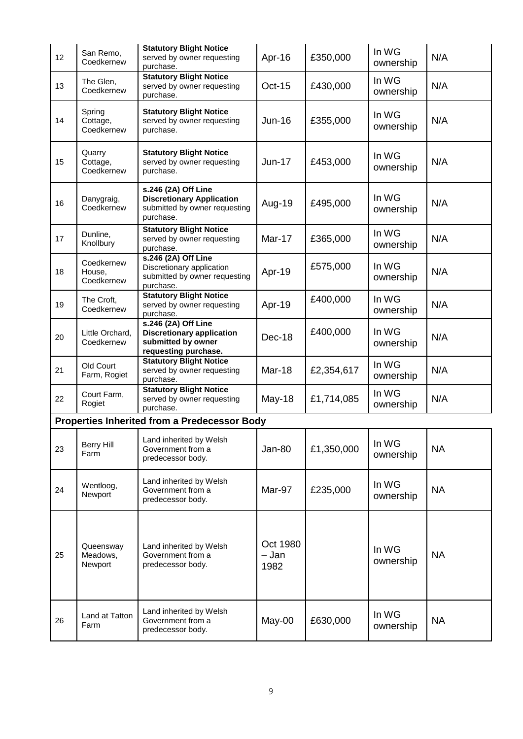| 12 | San Remo,<br>Coedkernew            | <b>Statutory Blight Notice</b><br>served by owner requesting<br>purchase.                             | Apr-16                    | £350,000   | In WG<br>ownership | N/A       |
|----|------------------------------------|-------------------------------------------------------------------------------------------------------|---------------------------|------------|--------------------|-----------|
| 13 | The Glen,<br>Coedkernew            | <b>Statutory Blight Notice</b><br>served by owner requesting<br>purchase.                             | <b>Oct-15</b>             | £430,000   | In WG<br>ownership | N/A       |
| 14 | Spring<br>Cottage,<br>Coedkernew   | <b>Statutory Blight Notice</b><br>served by owner requesting<br>purchase.                             | $Jun-16$                  | £355,000   | In WG<br>ownership | N/A       |
| 15 | Quarry<br>Cottage,<br>Coedkernew   | <b>Statutory Blight Notice</b><br>served by owner requesting<br>purchase.                             | $Jun-17$                  | £453,000   | In WG<br>ownership | N/A       |
| 16 | Danygraig,<br>Coedkernew           | s.246 (2A) Off Line<br><b>Discretionary Application</b><br>submitted by owner requesting<br>purchase. | Aug-19                    | £495,000   | In WG<br>ownership | N/A       |
| 17 | Dunline,<br>Knollbury              | <b>Statutory Blight Notice</b><br>served by owner requesting<br>purchase.                             | <b>Mar-17</b>             | £365,000   | In WG<br>ownership | N/A       |
| 18 | Coedkernew<br>House,<br>Coedkernew | s.246 (2A) Off Line<br>Discretionary application<br>submitted by owner requesting<br>purchase.        | Apr-19                    | £575,000   | In WG<br>ownership | N/A       |
| 19 | The Croft,<br>Coedkernew           | <b>Statutory Blight Notice</b><br>served by owner requesting<br>purchase.                             | Apr-19                    | £400,000   | In WG<br>ownership | N/A       |
| 20 | Little Orchard,<br>Coedkernew      | s.246 (2A) Off Line<br><b>Discretionary application</b><br>submitted by owner<br>requesting purchase. | Dec-18                    | £400,000   | In WG<br>ownership | N/A       |
| 21 | Old Court<br>Farm, Rogiet          | <b>Statutory Blight Notice</b><br>served by owner requesting<br>purchase.                             | <b>Mar-18</b>             | £2,354,617 | In WG<br>ownership | N/A       |
| 22 | Court Farm,<br>Rogiet              | <b>Statutory Blight Notice</b><br>served by owner requesting<br>purchase.                             | May-18                    | £1,714,085 | In WG<br>ownership | N/A       |
|    |                                    | <b>Properties Inherited from a Predecessor Body</b>                                                   |                           |            |                    |           |
| 23 | <b>Berry Hill</b><br>Farm          | Land inherited by Welsh<br>Government from a<br>predecessor body.                                     | <b>Jan-80</b>             | £1,350,000 | In WG<br>ownership | <b>NA</b> |
| 24 | Wentloog,<br>Newport               | Land inherited by Welsh<br>Government from a<br>predecessor body.                                     | Mar-97                    | £235,000   | In WG<br>ownership | <b>NA</b> |
| 25 | Queensway<br>Meadows,<br>Newport   | Land inherited by Welsh<br>Government from a<br>predecessor body.                                     | Oct 1980<br>- Jan<br>1982 |            | In WG<br>ownership | <b>NA</b> |
| 26 | Land at Tatton<br>Farm             | Land inherited by Welsh<br>Government from a<br>predecessor body.                                     | May-00                    | £630,000   | In WG<br>ownership | <b>NA</b> |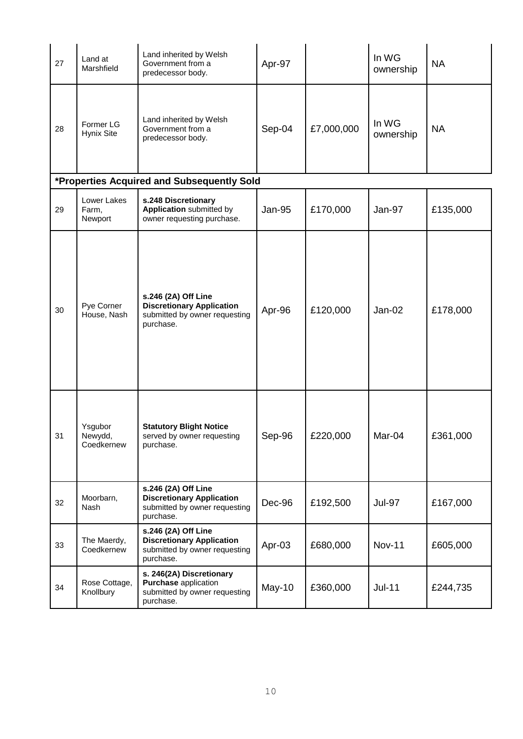| 27 | Land at<br>Marshfield            | Land inherited by Welsh<br>Government from a<br>predecessor body.                                     | Apr-97 |            | In WG<br>ownership | <b>NA</b> |
|----|----------------------------------|-------------------------------------------------------------------------------------------------------|--------|------------|--------------------|-----------|
| 28 | Former LG<br>Hynix Site          | Land inherited by Welsh<br>Government from a<br>predecessor body.                                     | Sep-04 | £7,000,000 | In WG<br>ownership | <b>NA</b> |
|    |                                  | *Properties Acquired and Subsequently Sold                                                            |        |            |                    |           |
| 29 | Lower Lakes<br>Farm,<br>Newport  | s.248 Discretionary<br><b>Application submitted by</b><br>owner requesting purchase.                  | Jan-95 | £170,000   | Jan-97             | £135,000  |
| 30 | Pye Corner<br>House, Nash        | s.246 (2A) Off Line<br><b>Discretionary Application</b><br>submitted by owner requesting<br>purchase. | Apr-96 | £120,000   | $Jan-02$           | £178,000  |
| 31 | Ysgubor<br>Newydd,<br>Coedkernew | <b>Statutory Blight Notice</b><br>served by owner requesting<br>purchase.                             | Sep-96 | £220,000   | Mar-04             | £361,000  |
| 32 | Moorbarn,<br>Nash                | s.246 (2A) Off Line<br><b>Discretionary Application</b><br>submitted by owner requesting<br>purchase. | Dec-96 | £192,500   | <b>Jul-97</b>      | £167,000  |
| 33 | The Maerdy,<br>Coedkernew        | s.246 (2A) Off Line<br><b>Discretionary Application</b><br>submitted by owner requesting<br>purchase. | Apr-03 | £680,000   | <b>Nov-11</b>      | £605,000  |
| 34 | Rose Cottage,<br>Knollbury       | s. 246(2A) Discretionary<br>Purchase application<br>submitted by owner requesting<br>purchase.        | May-10 | £360,000   | <b>Jul-11</b>      | £244,735  |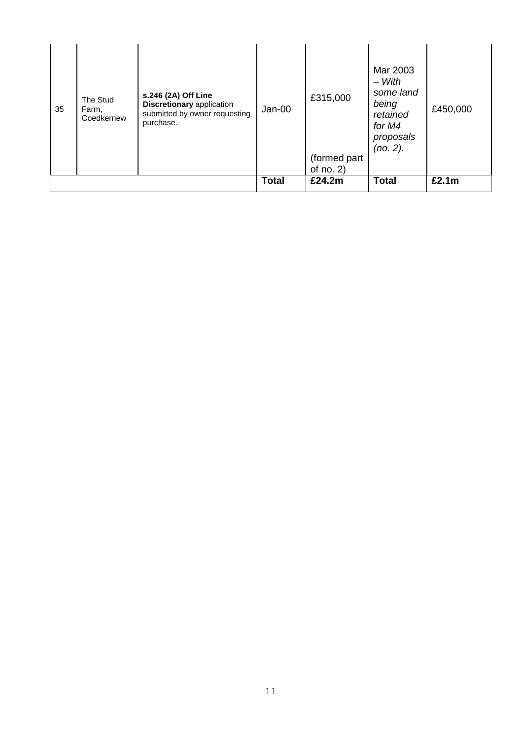| 35 | The Stud<br>Farm,<br>Coedkernew | s.246 (2A) Off Line<br><b>Discretionary application</b><br>submitted by owner requesting<br>purchase. | $Jan-00$     | £315,000<br>(formed part<br>of $no. 2)$ | Mar 2003<br>$-With$<br>some land<br>being<br>retained<br>for M4<br>proposals<br>(no. 2). | £450,000 |
|----|---------------------------------|-------------------------------------------------------------------------------------------------------|--------------|-----------------------------------------|------------------------------------------------------------------------------------------|----------|
|    |                                 |                                                                                                       | <b>Total</b> | £24.2m                                  | <b>Total</b>                                                                             | £2.1m    |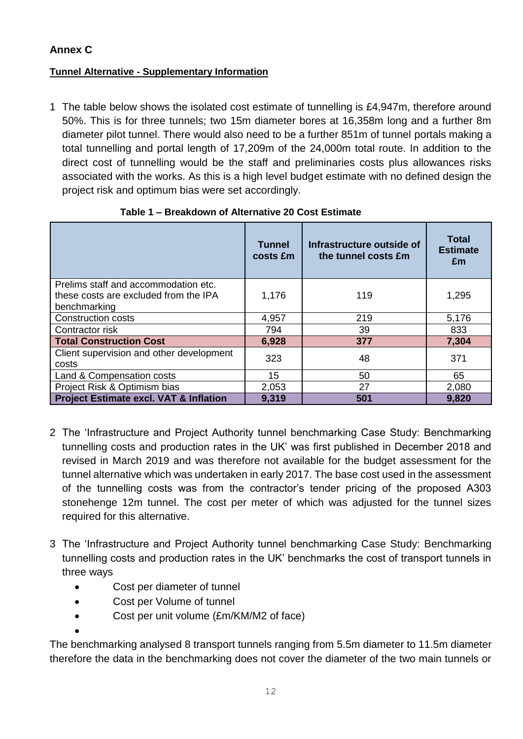# **Annex C**

## **Tunnel Alternative - Supplementary Information**

1 The table below shows the isolated cost estimate of tunnelling is £4,947m, therefore around 50%. This is for three tunnels; two 15m diameter bores at 16,358m long and a further 8m diameter pilot tunnel. There would also need to be a further 851m of tunnel portals making a total tunnelling and portal length of 17,209m of the 24,000m total route. In addition to the direct cost of tunnelling would be the staff and preliminaries costs plus allowances risks associated with the works. As this is a high level budget estimate with no defined design the project risk and optimum bias were set accordingly.

|                                                                                               | <b>Tunnel</b><br>costs £m | Infrastructure outside of<br>the tunnel costs £m | <b>Total</b><br><b>Estimate</b><br>£m |
|-----------------------------------------------------------------------------------------------|---------------------------|--------------------------------------------------|---------------------------------------|
| Prelims staff and accommodation etc.<br>these costs are excluded from the IPA<br>benchmarking | 1,176                     | 119                                              | 1,295                                 |
| <b>Construction costs</b>                                                                     | 4,957                     | 219                                              | 5,176                                 |
| Contractor risk                                                                               | 794                       | 39                                               | 833                                   |
| <b>Total Construction Cost</b>                                                                | 6,928                     | 377                                              | 7,304                                 |
| Client supervision and other development<br>costs                                             | 323                       | 48                                               | 371                                   |
| Land & Compensation costs                                                                     | 15                        | 50                                               | 65                                    |
| Project Risk & Optimism bias                                                                  | 2,053                     | 27                                               | 2,080                                 |
| <b>Project Estimate excl. VAT &amp; Inflation</b>                                             | 9,319                     | 501                                              | 9,820                                 |

**Table 1 – Breakdown of Alternative 20 Cost Estimate**

- 2 The 'Infrastructure and Project Authority tunnel benchmarking Case Study: Benchmarking tunnelling costs and production rates in the UK' was first published in December 2018 and revised in March 2019 and was therefore not available for the budget assessment for the tunnel alternative which was undertaken in early 2017. The base cost used in the assessment of the tunnelling costs was from the contractor's tender pricing of the proposed A303 stonehenge 12m tunnel. The cost per meter of which was adjusted for the tunnel sizes required for this alternative.
- 3 The 'Infrastructure and Project Authority tunnel benchmarking Case Study: Benchmarking tunnelling costs and production rates in the UK' benchmarks the cost of transport tunnels in three ways
	- Cost per diameter of tunnel
	- Cost per Volume of tunnel
	- Cost per unit volume (£m/KM/M2 of face)

 $\bullet$ 

The benchmarking analysed 8 transport tunnels ranging from 5.5m diameter to 11.5m diameter therefore the data in the benchmarking does not cover the diameter of the two main tunnels or